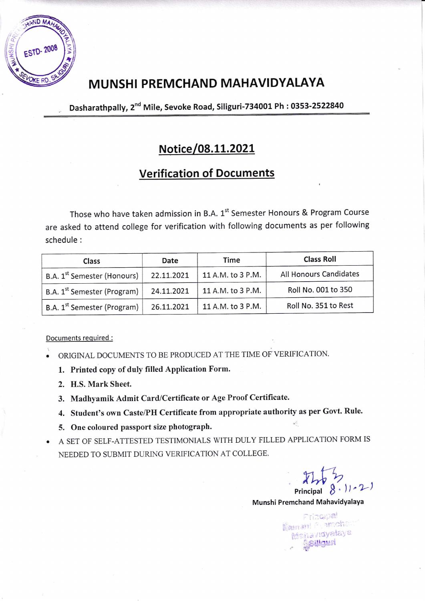

# MUNSHI PREMCHAND MAHAVIDYALAYA

Dasharathpally, 2<sup>nd</sup> Mile, Sevoke Road, Siliguri-734001 Ph: 0353-2522840

## Notice/08.11.2021

## **Verification of Documents**

Those who have taken admission in B.A. 1st Semester Honours & Program Course are asked to attend college for verification with following documents as per following schedule:

| Class                                   | Date       | Time              | <b>Class Roll</b>      |
|-----------------------------------------|------------|-------------------|------------------------|
| B.A. 1 <sup>st</sup> Semester (Honours) | 22.11.2021 | 11 A.M. to 3 P.M. | All Honours Candidates |
| B.A. 1 <sup>st</sup> Semester (Program) | 24.11.2021 | 11 A.M. to 3 P.M. | Roll No. 001 to 350    |
| B.A. 1 <sup>st</sup> Semester (Program) | 26.11.2021 | 11 A.M. to 3 P.M. | Roll No. 351 to Rest   |

Documents required :

- ORIGINAL DOCUMENTS TO BE PRODUCED AT THE TIME OF VERIFICATION.
	- 1. Printed copy of duly filled Application Form.
	- 2. H.S. Mark Sheet.
	- 3. Madhyamik Admit Card/Certificate or Age Proof Certificate.
	- 4. Student's own Caste/PH Certificate from appropriate authority as per Govt. Rule.
	- 5. One coloured passport size photograph.
- A SET OF SELF-ATTESTED TESTIMONIALS WITH DULY FILLED APPLICATION FORM IS NEEDED TO SUBMIT DURING VERIFICATION AT COLLEGE.

Principal  $8.11-21$ 

Munshi Premchand Mahavidyalaya

Principal Mamant Pyantoha Mohavidvalaya